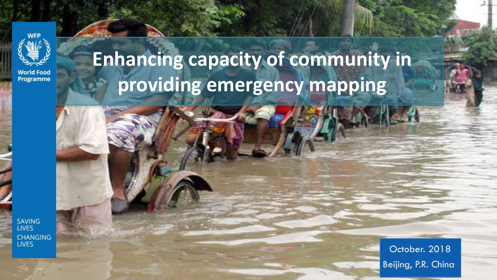

**World Food** Programme

# **Enhancing capacity of community in providing emergency mapping**

**SAVING LIVES CHANGING LIVES** 

October. 2018 Beijing, P.R. China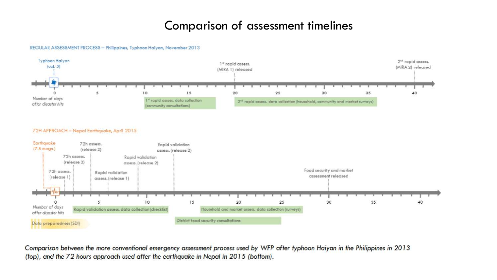### Comparison of assessment timelines

#### REGULAR ASSESSMENT PROCESS - Philippines, Typhoon Haiyan, November 2013



Comparison between the more conventional emergency assessment process used by WFP after typhoon Haiyan in the Philippines in 2013 (top), and the 72 hours approach used after the earthquake in Nepal in 2015 (bottom).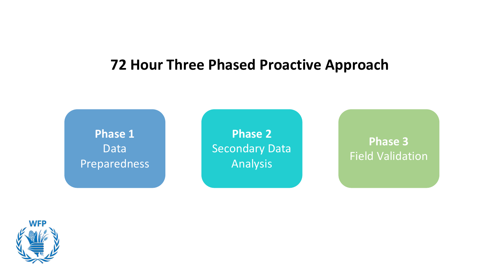# **72 Hour Three Phased Proactive Approach**

**Phase 1** Data Preparedness

**Phase 2** Secondary Data Analysis

**Phase 3** Field Validation

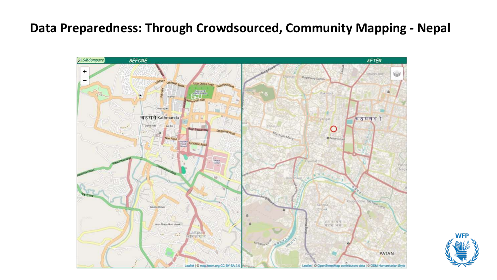### **Data Preparedness: Through Crowdsourced, Community Mapping - Nepal**



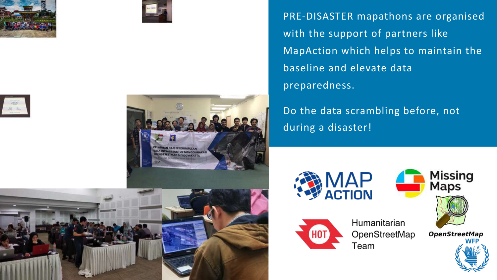







PRE-DISASTER mapathons are organised with the support of partners like MapAction which helps to maintain the baseline and elevate data preparedness.

Do the data scrambling before, not during a disaster!







Humanitarian OpenStreetMap Team

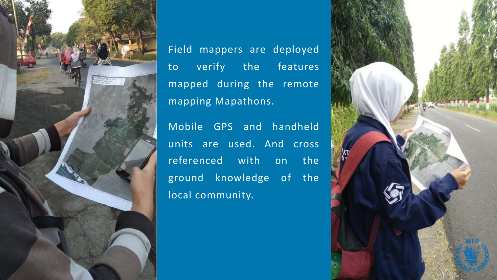

Field mappers are deployed to verify the features mapped during the remote mapping Mapathons.

Mobile GPS and handheld units are used. And cross referenced with on the ground knowledge of the local community.

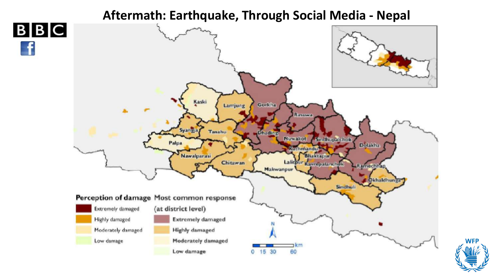### **Aftermath: Earthquake, Through Social Media - Nepal**



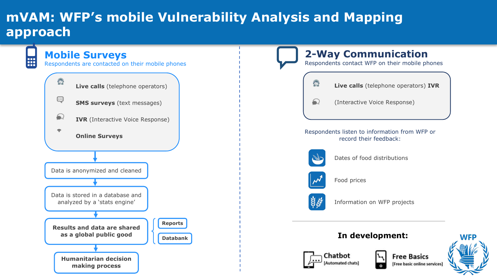# **mVAM: WFP's mobile Vulnerability Analysis and Mapping approach**

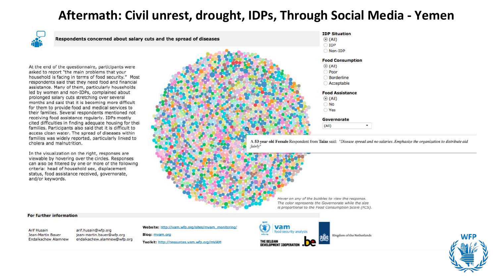### **Aftermath: Civil unrest, drought, IDPs, Through Social Media - Yemen**





Hover on any of the bubbles to view the response. The color represents the Governorate while the size Is proportional to the Food Consumption Score (FCS).

#### For further information

Arif Husain **Jean-Martin Bauer** Endalkachew Alamnew

arif.husain@wfp.org jean-martin.bauer@wfp.org endalkachew.alamnew@wfp.org Website: http://vam.wfp.org/sites/myam\_monitoring/

Blog: mvam.org Toolkit: http://resources.vam.wfp.org/mVAM



Kingdom of the Netherlands

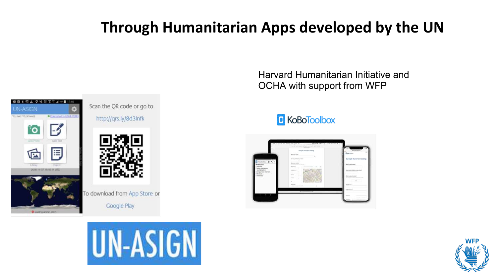# **Through Humanitarian Apps developed by the UN**



Scan the QR code or go to

http://grs.ly/8d3lnfk



To download from App Store or



Harvard Humanitarian Initiative and OCHA with support from WFP

### **C** KoBoToolbox



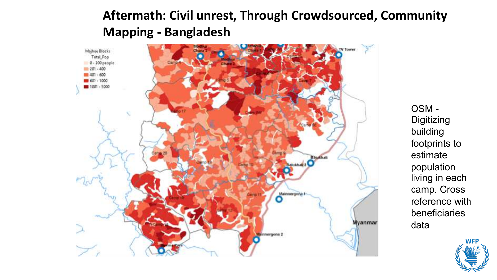

OSM - **Digitizing** building footprints to estimate population living in each camp. Cross reference with beneficiaries data

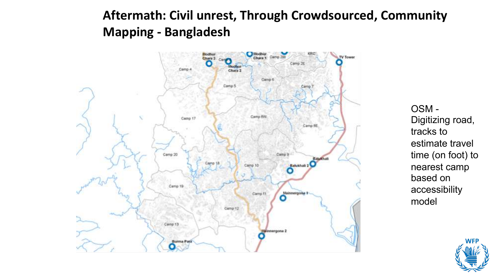

OSM - Digitizing road, tracks to estimate travel time (on foot) to nearest camp based on accessibility model

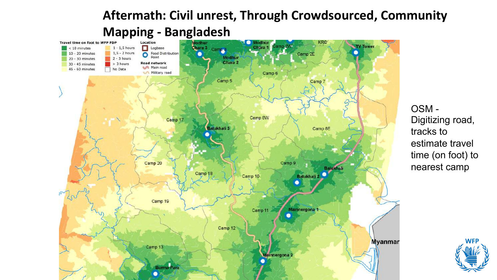

OSM - Digitizing road, tracks to estimate travel time (on foot) to nearest camp